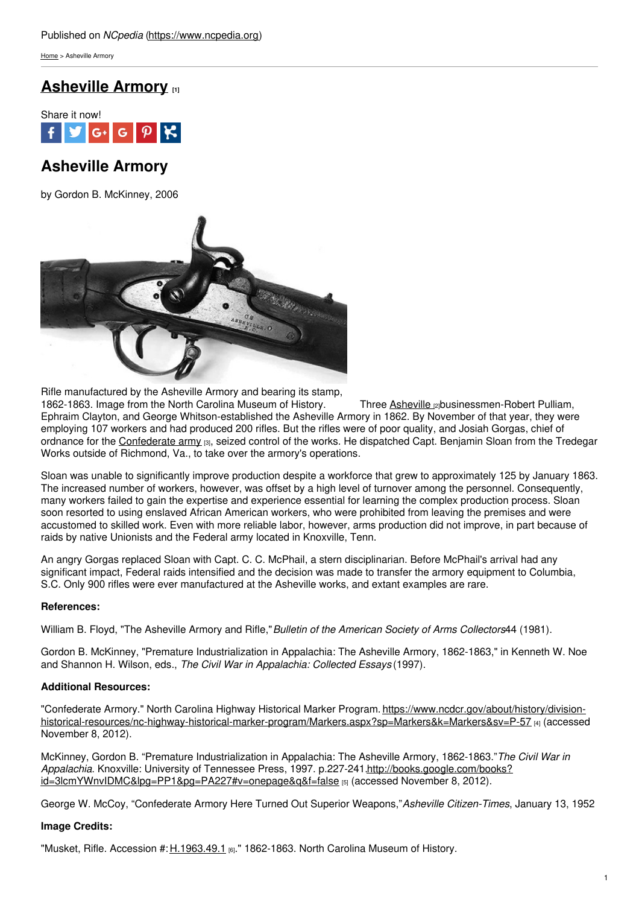[Home](https://www.ncpedia.org/) > Asheville Armory

## **[Asheville](https://www.ncpedia.org/asheville-armory) Armory [1]**



# **Asheville Armory**

by Gordon B. McKinney, 2006



Rifle manufactured by the Asheville Armory and bearing its stamp, 1862-1863. Image from the North Carolina Museum of History. Three [Asheville](https://www.ncpedia.org/geography/asheville) gobusinessmen-Robert Pulliam, Ephraim Clayton, and George Whitson-established the Asheville Armory in 1862. By November of that year, they were employing 107 workers and had produced 200 rifles. But the rifles were of poor quality, and Josiah Gorgas, chief of ordnance for the [Confederate](https://www.ncpedia.org/history/cw-1900/confederate-army-structure) army [3], seized control of the works. He dispatched Capt. Benjamin Sloan from the Tredegar Works outside of Richmond, Va., to take over the armory's operations.

Sloan was unable to significantly improve production despite a workforce that grew to approximately 125 by January 1863. The increased number of workers, however, was offset by a high level of turnover among the personnel. Consequently, many workers failed to gain the expertise and experience essential for learning the complex production process. Sloan soon resorted to using enslaved African American workers, who were prohibited from leaving the premises and were accustomed to skilled work. Even with more reliable labor, however, arms production did not improve, in part because of raids by native Unionists and the Federal army located in Knoxville, Tenn.

An angry Gorgas replaced Sloan with Capt. C. C. McPhail, a stern disciplinarian. Before McPhail's arrival had any significant impact. Federal raids intensified and the decision was made to transfer the armory equipment to Columbia, S.C. Only 900 rifles were ever manufactured at the Asheville works, and extant examples are rare.

### **References:**

William B. Floyd, "The Asheville Armory and Rifle,"*Bulletin of the American Society of Arms Collectors*44 (1981).

Gordon B. McKinney, "Premature Industrialization in Appalachia: The Asheville Armory, 1862-1863," in Kenneth W. Noe and Shannon H. Wilson, eds., *The Civil War in Appalachia: Collected Essays* (1997).

### **Additional Resources:**

"Confederate Armory." North Carolina Highway Historical Marker Program. https://www.ncdcr.gov/about/history/division[historical-resources/nc-highway-historical-marker-program/Markers.aspx?sp=Markers&k=Markers&sv=P-57](https://www.ncdcr.gov/about/history/division-historical-resources/nc-highway-historical-marker-program/Markers.aspx?sp=Markers&k=Markers&sv=P-57) [4] (accessed November 8, 2012).

McKinney, Gordon B. "Premature Industrialization in Appalachia: The Asheville Armory, 1862-1863."*The Civil War in Appalachia*. Knoxville: University of Tennessee Press, 1997. p.227-241.http://books.google.com/books? [id=3lcmYWnvIDMC&lpg=PP1&pg=PA227#v=onepage&q&f=false](http://books.google.com/books?id=3lcmYWnvIDMC&lpg=PP1&pg=PA227#v=onepage&q&f=false) [5] (accessed November 8, 2012).

George W. McCoy, "Confederate Armory Here Turned Out Superior Weapons,"*Asheville Citizen-Times*, January 13, 1952

### **Image Credits:**

"Musket, Rifle. Accession #: [H.1963.49.1](http://collections.ncdcr.gov/RediscoveryProficioPublicSearch/ShowItem.aspx?66129+) [6]." 1862-1863. North Carolina Museum of History.